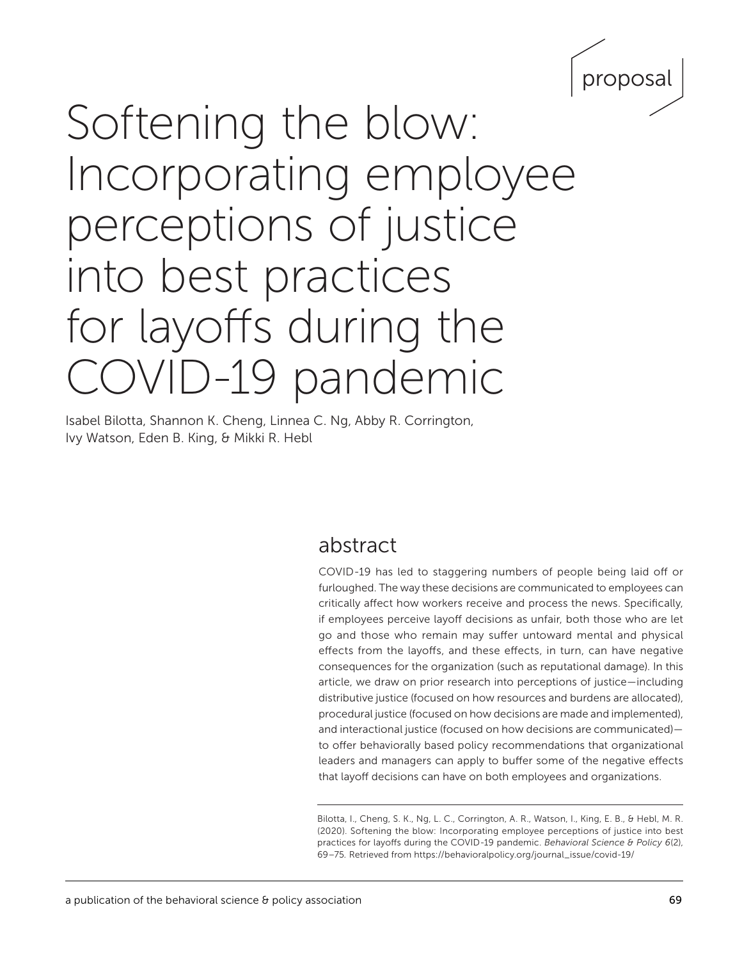

# Softening the blow: Incorporating employee perceptions of justice into best practices for layoffs during the COVID-19 pandemic

Isabel Bilotta, Shannon K. Cheng, Linnea C. Ng, Abby R. Corrington, Ivy Watson, Eden B. King, & Mikki R. Hebl

## abstract

COVID-19 has led to staggering numbers of people being laid off or furloughed. The way these decisions are communicated to employees can critically affect how workers receive and process the news. Specifically, if employees perceive layoff decisions as unfair, both those who are let go and those who remain may suffer untoward mental and physical effects from the layoffs, and these effects, in turn, can have negative consequences for the organization (such as reputational damage). In this article, we draw on prior research into perceptions of justice—including distributive justice (focused on how resources and burdens are allocated), procedural justice (focused on how decisions are made and implemented), and interactional justice (focused on how decisions are communicated) to offer behaviorally based policy recommendations that organizational leaders and managers can apply to buffer some of the negative effects that layoff decisions can have on both employees and organizations.

Bilotta, I., Cheng, S. K., Ng, L. C., Corrington, A. R., Watson, I., King, E. B., & Hebl, M. R. (2020). Softening the blow: Incorporating employee perceptions of justice into best practices for layoffs during the COVID-19 pandemic. *Behavioral Science & Policy 6*(2), 69–75*.* Retrieved from [https://behavioralpolicy.org/journal\\_issue/covid-19/](https://behavioralpolicy.org/journal_issue/covid-19/)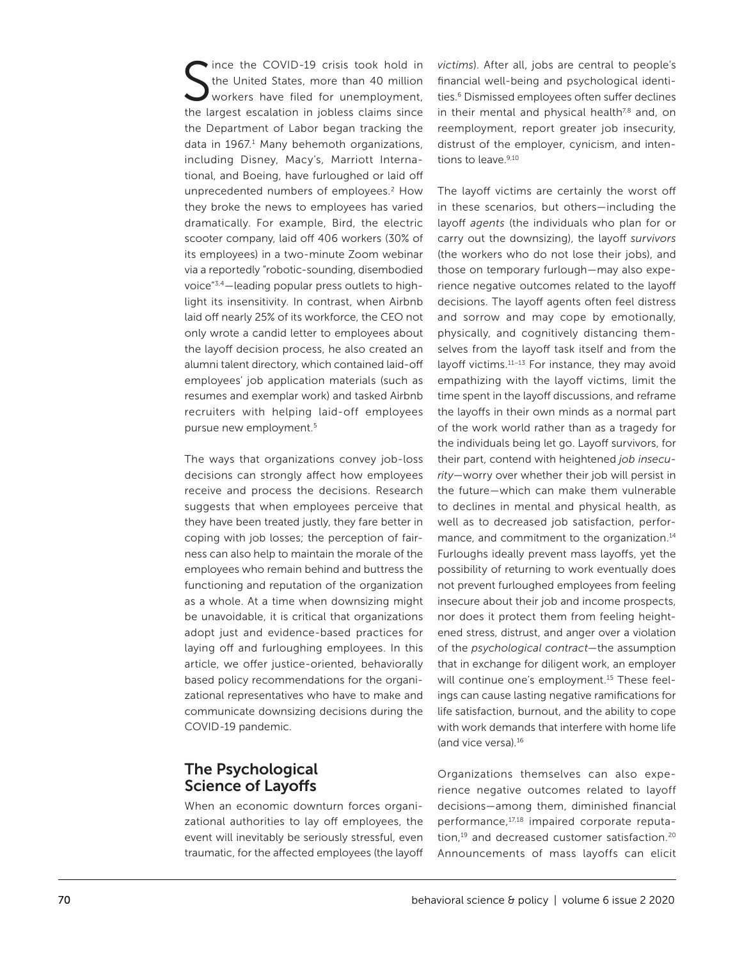S tince the COVID-19 crisis took hold in the United States, more than 40 million workers have filed for unemployment, the largest escalation in jobless claims since the Department of Labor began tracking the data in 1967.<sup>1</sup> Many behemoth organizations, including Disney, Macy's, Marriott International, and Boeing, have furloughed or laid off unprecedented numbers of employees.<sup>2</sup> How they broke the news to employees has varied dramatically. For example, Bird, the electric scooter company, laid off 406 workers (30% of its employees) in a two-minute Zoom webinar via a reportedly "robotic-sounding, disembodied voice"3,4—leading popular press outlets to highlight its insensitivity. In contrast, when Airbnb laid off nearly 25% of its workforce, the CEO not only wrote a candid letter to employees about the layoff decision process, he also created an alumni talent directory, which contained laid-off employees' job application materials (such as resumes and exemplar work) and tasked Airbnb recruiters with helping laid-off employees pursue new employment.5

The ways that organizations convey job-loss decisions can strongly affect how employees receive and process the decisions. Research suggests that when employees perceive that they have been treated justly, they fare better in coping with job losses; the perception of fairness can also help to maintain the morale of the employees who remain behind and buttress the functioning and reputation of the organization as a whole. At a time when downsizing might be unavoidable, it is critical that organizations adopt just and evidence-based practices for laying off and furloughing employees. In this article, we offer justice-oriented, behaviorally based policy recommendations for the organizational representatives who have to make and communicate downsizing decisions during the COVID-19 pandemic.

## The Psychological Science of Layoffs

When an economic downturn forces organizational authorities to lay off employees, the event will inevitably be seriously stressful, even traumatic, for the affected employees (the layoff

*victims*). After all, jobs are central to people's financial well-being and psychological identities.<sup>6</sup> Dismissed employees often suffer declines in their mental and physical health $7,8$  and, on reemployment, report greater job insecurity, distrust of the employer, cynicism, and intentions to leave.<sup>9,10</sup>

The layoff victims are certainly the worst off in these scenarios, but others—including the layoff *agents* (the individuals who plan for or carry out the downsizing), the layoff *survivors* (the workers who do not lose their jobs), and those on temporary furlough—may also experience negative outcomes related to the layoff decisions. The layoff agents often feel distress and sorrow and may cope by emotionally, physically, and cognitively distancing themselves from the layoff task itself and from the layoff victims.11–13 For instance, they may avoid empathizing with the layoff victims, limit the time spent in the layoff discussions, and reframe the layoffs in their own minds as a normal part of the work world rather than as a tragedy for the individuals being let go. Layoff survivors, for their part, contend with heightened *job insecurity—*worry over whether their job will persist in the future—which can make them vulnerable to declines in mental and physical health, as well as to decreased job satisfaction, performance, and commitment to the organization.<sup>14</sup> Furloughs ideally prevent mass layoffs, yet the possibility of returning to work eventually does not prevent furloughed employees from feeling insecure about their job and income prospects, nor does it protect them from feeling heightened stress, distrust, and anger over a violation of the *psychological contract*—the assumption that in exchange for diligent work, an employer will continue one's employment.<sup>15</sup> These feelings can cause lasting negative ramifications for life satisfaction, burnout, and the ability to cope with work demands that interfere with home life (and vice versa).16

Organizations themselves can also experience negative outcomes related to layoff decisions—among them, diminished financial performance,17,18 impaired corporate reputation,<sup>19</sup> and decreased customer satisfaction.<sup>20</sup> Announcements of mass layoffs can elicit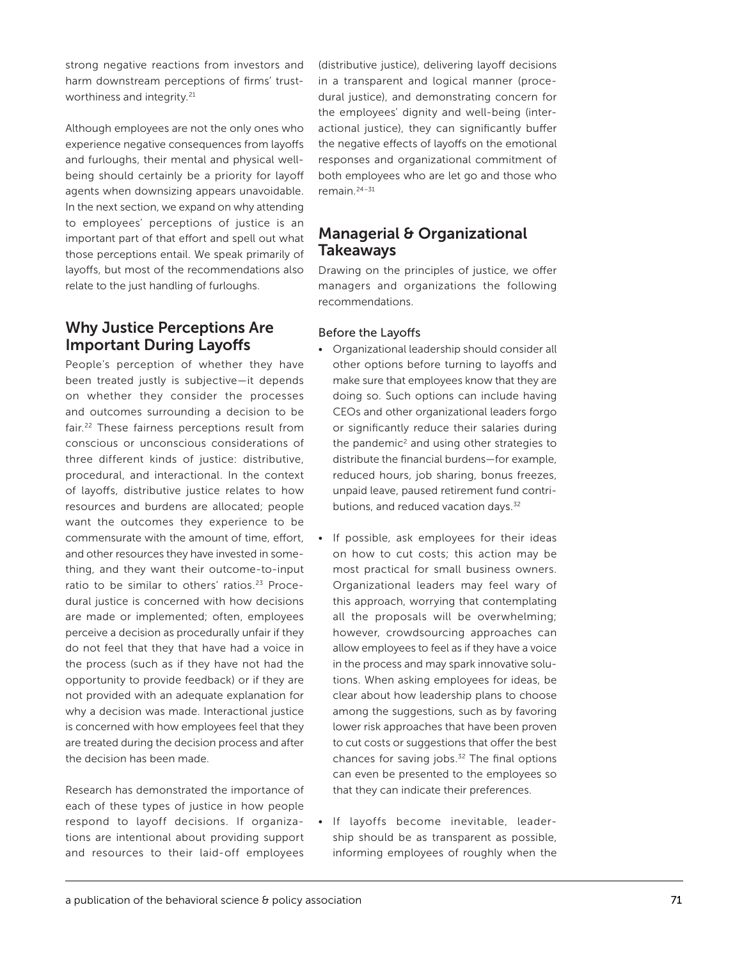strong negative reactions from investors and harm downstream perceptions of firms' trustworthiness and integrity.<sup>21</sup>

Although employees are not the only ones who experience negative consequences from layoffs and furloughs, their mental and physical wellbeing should certainly be a priority for layoff agents when downsizing appears unavoidable. In the next section, we expand on why attending to employees' perceptions of justice is an important part of that effort and spell out what those perceptions entail. We speak primarily of layoffs, but most of the recommendations also relate to the just handling of furloughs.

## Why Justice Perceptions Are Important During Layoffs

People's perception of whether they have been treated justly is subjective—it depends on whether they consider the processes and outcomes surrounding a decision to be fair.22 These fairness perceptions result from conscious or unconscious considerations of three different kinds of justice: distributive, procedural, and interactional. In the context of layoffs, distributive justice relates to how resources and burdens are allocated; people want the outcomes they experience to be commensurate with the amount of time, effort, and other resources they have invested in something, and they want their outcome-to-input ratio to be similar to others' ratios.<sup>23</sup> Procedural justice is concerned with how decisions are made or implemented; often, employees perceive a decision as procedurally unfair if they do not feel that they that have had a voice in the process (such as if they have not had the opportunity to provide feedback) or if they are not provided with an adequate explanation for why a decision was made. Interactional justice is concerned with how employees feel that they are treated during the decision process and after the decision has been made.

Research has demonstrated the importance of each of these types of justice in how people respond to layoff decisions. If organizations are intentional about providing support and resources to their laid-off employees

(distributive justice), delivering layoff decisions in a transparent and logical manner (procedural justice), and demonstrating concern for the employees' dignity and well-being (interactional justice), they can significantly buffer the negative effects of layoffs on the emotional responses and organizational commitment of both employees who are let go and those who remain.24–31

## Managerial & Organizational Takeaways

Drawing on the principles of justice, we offer managers and organizations the following recommendations.

#### Before the Layoffs

- Organizational leadership should consider all other options before turning to layoffs and make sure that employees know that they are doing so. Such options can include having CEOs and other organizational leaders forgo or significantly reduce their salaries during the pandemic $2$  and using other strategies to distribute the financial burdens—for example, reduced hours, job sharing, bonus freezes, unpaid leave, paused retirement fund contributions, and reduced vacation days.<sup>32</sup>
- If possible, ask employees for their ideas on how to cut costs; this action may be most practical for small business owners. Organizational leaders may feel wary of this approach, worrying that contemplating all the proposals will be overwhelming; however, crowdsourcing approaches can allow employees to feel as if they have a voice in the process and may spark innovative solutions. When asking employees for ideas, be clear about how leadership plans to choose among the suggestions, such as by favoring lower risk approaches that have been proven to cut costs or suggestions that offer the best chances for saving jobs.<sup>32</sup> The final options can even be presented to the employees so that they can indicate their preferences.
- If layoffs become inevitable, leadership should be as transparent as possible, informing employees of roughly when the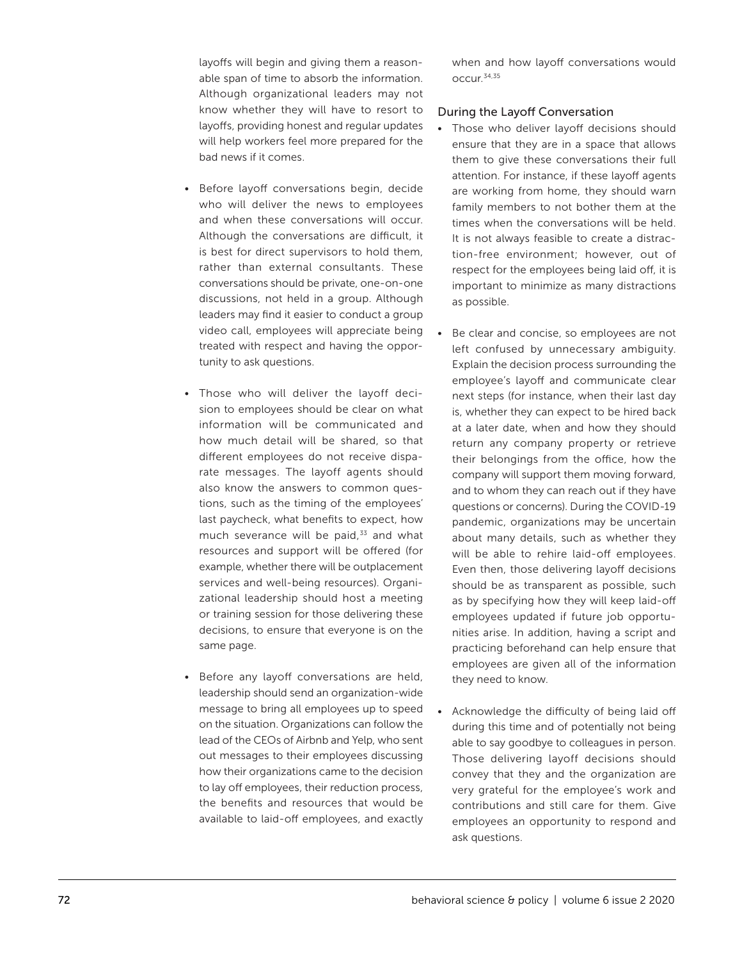layoffs will begin and giving them a reasonable span of time to absorb the information. Although organizational leaders may not know whether they will have to resort to layoffs, providing honest and regular updates will help workers feel more prepared for the bad news if it comes.

- Before layoff conversations begin, decide who will deliver the news to employees and when these conversations will occur. Although the conversations are difficult, it is best for direct supervisors to hold them, rather than external consultants. These conversations should be private, one-on-one discussions, not held in a group. Although leaders may find it easier to conduct a group video call, employees will appreciate being treated with respect and having the opportunity to ask questions.
- Those who will deliver the layoff decision to employees should be clear on what information will be communicated and how much detail will be shared, so that different employees do not receive disparate messages. The layoff agents should also know the answers to common questions, such as the timing of the employees' last paycheck, what benefits to expect, how much severance will be paid, $33$  and what resources and support will be offered (for example, whether there will be outplacement services and well-being resources). Organizational leadership should host a meeting or training session for those delivering these decisions, to ensure that everyone is on the same page.
- Before any layoff conversations are held, leadership should send an organization-wide message to bring all employees up to speed on the situation. Organizations can follow the lead of the CEOs of Airbnb and Yelp, who sent out messages to their employees discussing how their organizations came to the decision to lay off employees, their reduction process, the benefits and resources that would be available to laid-off employees, and exactly

when and how layoff conversations would occur.34,35

#### During the Layoff Conversation

- Those who deliver layoff decisions should ensure that they are in a space that allows them to give these conversations their full attention. For instance, if these layoff agents are working from home, they should warn family members to not bother them at the times when the conversations will be held. It is not always feasible to create a distraction-free environment; however, out of respect for the employees being laid off, it is important to minimize as many distractions as possible.
- Be clear and concise, so employees are not left confused by unnecessary ambiguity. Explain the decision process surrounding the employee's layoff and communicate clear next steps (for instance, when their last day is, whether they can expect to be hired back at a later date, when and how they should return any company property or retrieve their belongings from the office, how the company will support them moving forward, and to whom they can reach out if they have questions or concerns). During the COVID-19 pandemic, organizations may be uncertain about many details, such as whether they will be able to rehire laid-off employees. Even then, those delivering layoff decisions should be as transparent as possible, such as by specifying how they will keep laid-off employees updated if future job opportunities arise. In addition, having a script and practicing beforehand can help ensure that employees are given all of the information they need to know.
- Acknowledge the difficulty of being laid off during this time and of potentially not being able to say goodbye to colleagues in person. Those delivering layoff decisions should convey that they and the organization are very grateful for the employee's work and contributions and still care for them. Give employees an opportunity to respond and ask questions.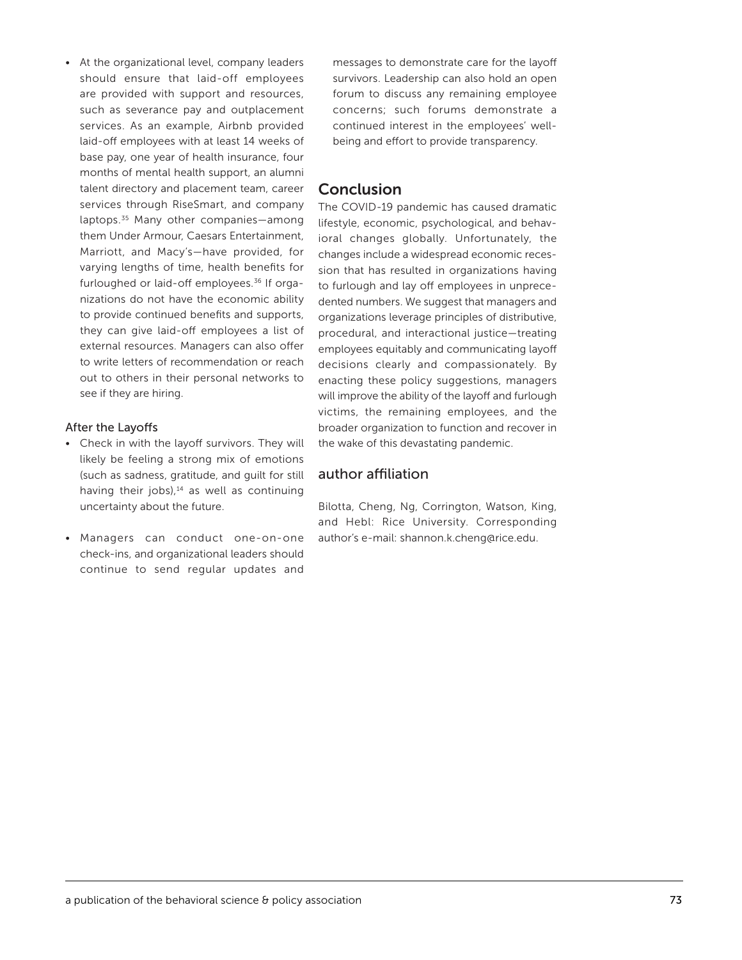• At the organizational level, company leaders should ensure that laid-off employees are provided with support and resources, such as severance pay and outplacement services. As an example, Airbnb provided laid-off employees with at least 14 weeks of base pay, one year of health insurance, four months of mental health support, an alumni talent directory and placement team, career services through RiseSmart, and company laptops.35 Many other companies—among them Under Armour, Caesars Entertainment, Marriott, and Macy's—have provided, for varying lengths of time, health benefits for furloughed or laid-off employees.36 If organizations do not have the economic ability to provide continued benefits and supports, they can give laid-off employees a list of external resources. Managers can also offer to write letters of recommendation or reach out to others in their personal networks to see if they are hiring.

#### After the Layoffs

- Check in with the layoff survivors. They will likely be feeling a strong mix of emotions (such as sadness, gratitude, and guilt for still having their jobs), $14$  as well as continuing uncertainty about the future.
- Managers can conduct one-on-one check-ins, and organizational leaders should continue to send regular updates and

messages to demonstrate care for the layoff survivors. Leadership can also hold an open forum to discuss any remaining employee concerns; such forums demonstrate a continued interest in the employees' wellbeing and effort to provide transparency.

## **Conclusion**

The COVID-19 pandemic has caused dramatic lifestyle, economic, psychological, and behavioral changes globally. Unfortunately, the changes include a widespread economic recession that has resulted in organizations having to furlough and lay off employees in unprecedented numbers. We suggest that managers and organizations leverage principles of distributive, procedural, and interactional justice—treating employees equitably and communicating layoff decisions clearly and compassionately. By enacting these policy suggestions, managers will improve the ability of the layoff and furlough victims, the remaining employees, and the broader organization to function and recover in the wake of this devastating pandemic.

## author affiliation

Bilotta, Cheng, Ng, Corrington, Watson, King, and Hebl: Rice University. Corresponding author's e-mail: [shannon.k.cheng@rice.edu](mailto:shannon.k.cheng@rice.edu).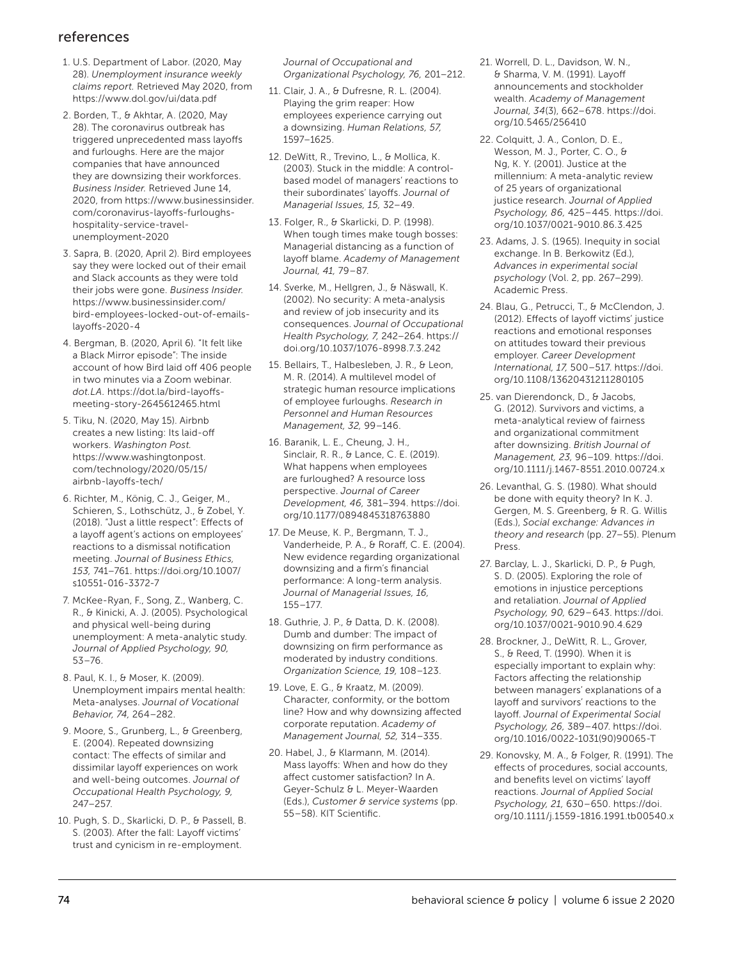## references

- 1. U.S. Department of Labor. (2020, May 28). *Unemployment insurance weekly claims report.* Retrieved May 2020, from <https://www.dol.gov/ui/data.pdf>
- 2. Borden, T., & Akhtar, A. (2020, May 28). The coronavirus outbreak has triggered unprecedented mass layoffs and furloughs. Here are the major companies that have announced they are downsizing their workforces. *Business Insider.* Retrieved June 14, 2020, from [https://www.businessinsider.](https://www.businessinsider.com/coronavirus-layoffs-furloughs-hospitality-service-travel-unemployment-2020 ) [com/coronavirus-layoffs-furloughs](https://www.businessinsider.com/coronavirus-layoffs-furloughs-hospitality-service-travel-unemployment-2020 )[hospitality-service-travel](https://www.businessinsider.com/coronavirus-layoffs-furloughs-hospitality-service-travel-unemployment-2020 )[unemployment-2020](https://www.businessinsider.com/coronavirus-layoffs-furloughs-hospitality-service-travel-unemployment-2020 )
- 3. Sapra, B. (2020, April 2). Bird employees say they were locked out of their email and Slack accounts as they were told their jobs were gone. *Business Insider.* [https://www.businessinsider.com/](https://www.businessinsider.com/bird-employees-locked-out-of-emails-layoffs-2020-4) [bird-employees-locked-out-of-emails](https://www.businessinsider.com/bird-employees-locked-out-of-emails-layoffs-2020-4)[layoffs-2020-4](https://www.businessinsider.com/bird-employees-locked-out-of-emails-layoffs-2020-4)
- 4. Bergman, B. (2020, April 6). "It felt like a Black Mirror episode": The inside account of how Bird laid off 406 people in two minutes via a Zoom webinar. *dot.LA.* [https://dot.la/bird-layoffs](https://dot.la/bird-layoffs-meeting-story-2645612465.html)[meeting-story-2645612465.html](https://dot.la/bird-layoffs-meeting-story-2645612465.html)
- 5. Tiku, N. (2020, May 15). Airbnb creates a new listing: Its laid-off workers. *Washington Post.* [https://www.washingtonpost.](https://www.washingtonpost.com/technology/2020/05/15/airbnb-layoffs-tech/) [com/technology/2020/05/15/](https://www.washingtonpost.com/technology/2020/05/15/airbnb-layoffs-tech/) [airbnb-layoffs-tech/](https://www.washingtonpost.com/technology/2020/05/15/airbnb-layoffs-tech/)
- 6. Richter, M., König, C. J., Geiger, M., Schieren, S., Lothschütz, J., & Zobel, Y. (2018). "Just a little respect": Effects of a layoff agent's actions on employees' reactions to a dismissal notification meeting. *Journal of Business Ethics, 153,* 741–761. [https://doi.org/10.1007/](https://doi.org/10.1007/s10551-016-3372-7) [s10551-016-3372-7](https://doi.org/10.1007/s10551-016-3372-7)
- 7. McKee-Ryan, F., Song, Z., Wanberg, C. R., & Kinicki, A. J. (2005). Psychological and physical well-being during unemployment: A meta-analytic study. *Journal of Applied Psychology, 90,* 53–76.
- 8. Paul, K. I., & Moser, K. (2009). Unemployment impairs mental health: Meta-analyses. *Journal of Vocational Behavior, 74,* 264–282.
- 9. Moore, S., Grunberg, L., & Greenberg, E. (2004). Repeated downsizing contact: The effects of similar and dissimilar layoff experiences on work and well-being outcomes. *Journal of Occupational Health Psychology, 9,* 247–257.
- 10. Pugh, S. D., Skarlicki, D. P., & Passell, B. S. (2003). After the fall: Layoff victims' trust and cynicism in re-employment.

*Journal of Occupational and Organizational Psychology, 76,* 201–212.

- 11. Clair, J. A., & Dufresne, R. L. (2004). Playing the grim reaper: How employees experience carrying out a downsizing. *Human Relations, 57,*  1597–1625.
- 12. DeWitt, R., Trevino, L., & Mollica, K. (2003). Stuck in the middle: A controlbased model of managers' reactions to their subordinates' layoffs. *Journal of Managerial Issues, 15,* 32–49.
- 13. Folger, R., & Skarlicki, D. P. (1998). When tough times make tough bosses: Managerial distancing as a function of layoff blame. *Academy of Management Journal, 41,* 79–87.
- 14. Sverke, M., Hellgren, J., & Näswall, K. (2002). No security: A meta-analysis and review of job insecurity and its consequences. *Journal of Occupational Health Psychology, 7,* 242–264. [https://](https://doi.org/10.1037/1076-8998.7.3.242) [doi.org/10.1037/1076-8998.7.3.242](https://doi.org/10.1037/1076-8998.7.3.242)
- 15. Bellairs, T., Halbesleben, J. R., & Leon, M. R. (2014). A multilevel model of strategic human resource implications of employee furloughs. *Research in Personnel and Human Resources Management, 32,* 99–146.
- 16. Baranik, L. E., Cheung, J. H., Sinclair, R. R., & Lance, C. E. (2019). What happens when employees are furloughed? A resource loss perspective. *Journal of Career Development, 46,* 381–394. [https://doi.](https://doi.org/10.1177/0894845318763880) [org/10.1177/0894845318763880](https://doi.org/10.1177/0894845318763880)
- 17. De Meuse, K. P., Bergmann, T. J., Vanderheide, P. A., & Roraff, C. E. (2004). New evidence regarding organizational downsizing and a firm's financial performance: A long-term analysis. *Journal of Managerial Issues, 16,* 155–177.
- 18. Guthrie, J. P., & Datta, D. K. (2008). Dumb and dumber: The impact of downsizing on firm performance as moderated by industry conditions. *Organization Science, 19,* 108–123.
- 19. Love, E. G., & Kraatz, M. (2009). Character, conformity, or the bottom line? How and why downsizing affected corporate reputation. *Academy of Management Journal, 52,* 314–335.
- 20. Habel, J., & Klarmann, M. (2014). Mass layoffs: When and how do they affect customer satisfaction? In A. Geyer-Schulz & L. Meyer-Waarden (Eds.), *Customer & service systems* (pp. 55–58). KIT Scientific.
- 21. Worrell, D. L., Davidson, W. N., & Sharma, V. M. (1991). Layoff announcements and stockholder wealth. *Academy of Management Journal, 34*(3), 662–678. [https://doi.](https://doi.org/10.5465/256410) [org/10.5465/256410](https://doi.org/10.5465/256410)
- 22. Colquitt, J. A., Conlon, D. E., Wesson, M. J., Porter, C. O., & Ng, K. Y. (2001). Justice at the millennium: A meta-analytic review of 25 years of organizational justice research. *Journal of Applied Psychology, 86,* 425–445. [https://doi.](https://doi.org/10.1037/0021-9010.86.3.425) [org/10.1037/0021-9010.86.3.425](https://doi.org/10.1037/0021-9010.86.3.425)
- 23. Adams, J. S. (1965). Inequity in social exchange. In B. Berkowitz (Ed.), *Advances in experimental social psychology* (Vol. 2, pp. 267–299). Academic Press.
- 24. Blau, G., Petrucci, T., & McClendon, J. (2012). Effects of layoff victims' justice reactions and emotional responses on attitudes toward their previous employer. *Career Development International, 17,* 500–517. [https://doi.](https://doi.org/10.1108/13620431211280105) [org/10.1108/13620431211280105](https://doi.org/10.1108/13620431211280105)
- 25. van Dierendonck, D., & Jacobs, G. (2012). Survivors and victims, a meta-analytical review of fairness and organizational commitment after downsizing. *British Journal of Management, 23,* 96–109. [https://doi.](https://doi.org/10.1111/j.1467-8551.2010.00724.x) [org/10.1111/j.1467-8551.2010.00724.x](https://doi.org/10.1111/j.1467-8551.2010.00724.x)
- 26. Levanthal, G. S. (1980). What should be done with equity theory? In K. J. Gergen, M. S. Greenberg, & R. G. Willis (Eds.), *Social exchange: Advances in theory and research* (pp. 27–55). Plenum Press.
- 27. Barclay, L. J., Skarlicki, D. P., & Pugh, S. D. (2005). Exploring the role of emotions in injustice perceptions and retaliation. *Journal of Applied Psychology, 90,* 629–643. [https://doi.](https://doi.org/10.1037/0021-9010.90.4.629) [org/10.1037/0021-9010.90.4.629](https://doi.org/10.1037/0021-9010.90.4.629)
- 28. Brockner, J., DeWitt, R. L., Grover, S., & Reed, T. (1990). When it is especially important to explain why: Factors affecting the relationship between managers' explanations of a layoff and survivors' reactions to the layoff. *Journal of Experimental Social Psychology, 26,* 389–407. [https://doi.](https://doi.org/10.1016/0022-1031(90)90065-T) [org/10.1016/0022-1031\(90\)90065-T](https://doi.org/10.1016/0022-1031(90)90065-T)
- 29. Konovsky, M. A., & Folger, R. (1991). The effects of procedures, social accounts, and benefits level on victims' layoff reactions. *Journal of Applied Social Psychology, 21,* 630–650. [https://doi.](https://doi.org/10.1111/j.1559-1816.1991.tb00540.x) [org/10.1111/j.1559-1816.1991.tb00540.x](https://doi.org/10.1111/j.1559-1816.1991.tb00540.x)